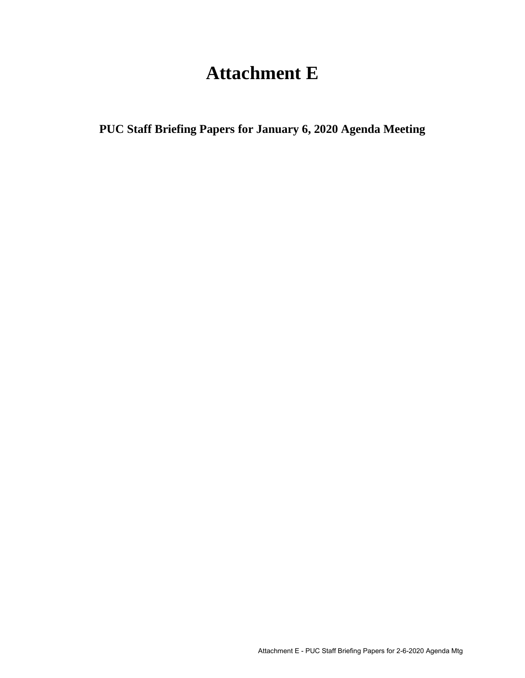**PUC Staff Briefing Papers for January 6, 2020 Agenda Meeting**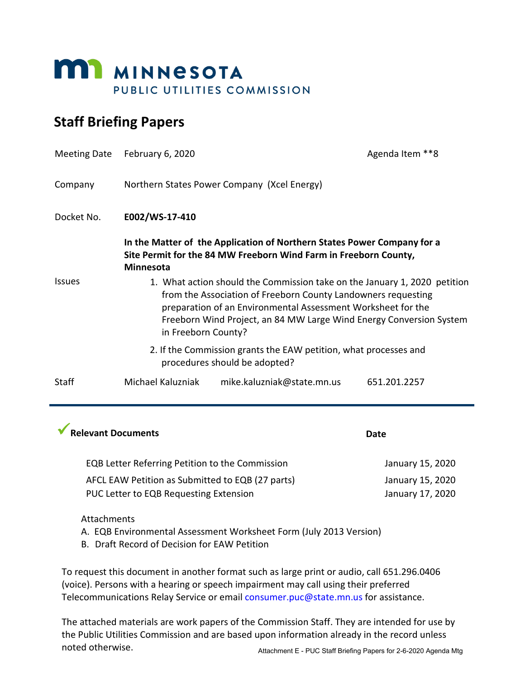

## **Staff Briefing Papers**

|                                                                                                   | Meeting Date February 6, 2020                                                                                                                                                                                                                                                                            |                            | Agenda Item **8 |  |
|---------------------------------------------------------------------------------------------------|----------------------------------------------------------------------------------------------------------------------------------------------------------------------------------------------------------------------------------------------------------------------------------------------------------|----------------------------|-----------------|--|
| Company                                                                                           | Northern States Power Company (Xcel Energy)                                                                                                                                                                                                                                                              |                            |                 |  |
| Docket No.                                                                                        | E002/WS-17-410                                                                                                                                                                                                                                                                                           |                            |                 |  |
|                                                                                                   | In the Matter of the Application of Northern States Power Company for a<br>Site Permit for the 84 MW Freeborn Wind Farm in Freeborn County,<br><b>Minnesota</b>                                                                                                                                          |                            |                 |  |
| <b>Issues</b>                                                                                     | 1. What action should the Commission take on the January 1, 2020 petition<br>from the Association of Freeborn County Landowners requesting<br>preparation of an Environmental Assessment Worksheet for the<br>Freeborn Wind Project, an 84 MW Large Wind Energy Conversion System<br>in Freeborn County? |                            |                 |  |
| 2. If the Commission grants the EAW petition, what processes and<br>procedures should be adopted? |                                                                                                                                                                                                                                                                                                          |                            |                 |  |
| Staff                                                                                             | Michael Kaluzniak                                                                                                                                                                                                                                                                                        | mike.kaluzniak@state.mn.us | 651.201.2257    |  |

| Relevant Documents                               | Date             |  |
|--------------------------------------------------|------------------|--|
| EQB Letter Referring Petition to the Commission  | January 15, 2020 |  |
| AFCL EAW Petition as Submitted to EQB (27 parts) | January 15, 2020 |  |
| PUC Letter to EQB Requesting Extension           | January 17, 2020 |  |

Attachments

- A. EQB Environmental Assessment Worksheet Form (July 2013 Version)
- B. Draft Record of Decision for EAW Petition

To request this document in another format such as large print or audio, call 651.296.0406 (voice). Persons with a hearing or speech impairment may call using their preferred Telecommunications Relay Service or email consumer.puc@state.mn.us for assistance.

The attached materials are work papers of the Commission Staff. They are intended for use by the Public Utilities Commission and are based upon information already in the record unless noted otherwise. Attachment E - PUC Staff Briefing Papers for 2-6-2020 Agenda Mtg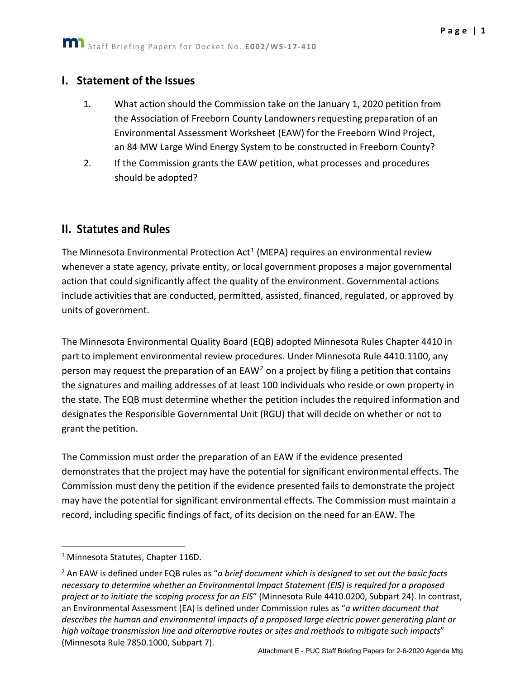## I. Statement of the Issues

- 1. What action should the Commission take on the January 1, 2020 petition from the Association of Freeborn County Landowners requesting preparation of an Environmental Assessment Worksheet (EAW) for the Freeborn Wind Project, an 84 MW Large Wind Energy System to be constructed in Freeborn County?
- 2. If the Commission grants the EAW petition, what processes and procedures should be adopted?

## **II. Statutes and Rules**

The Minnesota Environmental Protection Act<sup>[1](#page-2-0)</sup> (MEPA) requires an environmental review whenever a state agency, private entity, or local government proposes a major governmental action that could significantly affect the quality of the environment. Governmental actions include activities that are conducted, permitted, assisted, financed, regulated, or approved by units of government.

The Minnesota Environmental Quality Board (EQB) adopted Minnesota Rules Chapter 4410 in part to implement environmental review procedures. Under Minnesota Rule 4410.1100, any person may request the preparation of an  $EAW^2$  $EAW^2$  on a project by filing a petition that contains the signatures and mailing addresses of at least 100 individuals who reside or own property in the state. The EQB must determine whether the petition includes the required information and designates the Responsible Governmental Unit (RGU) that will decide on whether or not to grant the petition.

The Commission must order the preparation of an EAW if the evidence presented demonstrates that the project may have the potential for significant environmental effects. The Commission must deny the petition if the evidence presented fails to demonstrate the project may have the potential for significant environmental effects. The Commission must maintain a record, including specific findings of fact, of its decision on the need for an EAW. The

<span id="page-2-0"></span><sup>&</sup>lt;sup>1</sup> Minnesota Statutes, Chapter 116D.

<span id="page-2-1"></span><sup>2</sup> An EAW is defined under EQB rules as "*a brief document which is designed to set out the basic facts necessary to determine whether an Environmental Impact Statement (EIS) is required for a proposed project or to initiate the scoping process for an EIS*" (Minnesota Rule 4410.0200, Subpart 24). In contrast, an Environmental Assessment (EA) is defined under Commission rules as "*a written document that describes the human and environmental impacts of a proposed large electric power generating plant or high voltage transmission line and alternative routes or sites and methods to mitigate such impacts*" (Minnesota Rule 7850.1000, Subpart 7).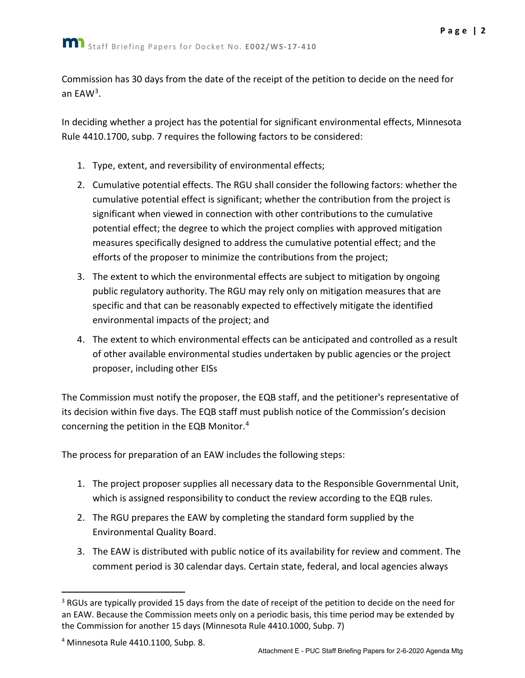Commission has 30 days from the date of the receipt of the petition to decide on the need for an EAW[3.](#page-3-0)

In deciding whether a project has the potential for significant environmental effects, Minnesota Rule 4410.1700, subp. 7 requires the following factors to be considered:

- 1. Type, extent, and reversibility of environmental effects;
- 2. Cumulative potential effects. The RGU shall consider the following factors: whether the cumulative potential effect is significant; whether the contribution from the project is significant when viewed in connection with other contributions to the cumulative potential effect; the degree to which the project complies with approved mitigation measures specifically designed to address the cumulative potential effect; and the efforts of the proposer to minimize the contributions from the project;
- 3. The extent to which the environmental effects are subject to mitigation by ongoing public regulatory authority. The RGU may rely only on mitigation measures that are specific and that can be reasonably expected to effectively mitigate the identified environmental impacts of the project; and
- 4. The extent to which environmental effects can be anticipated and controlled as a result of other available environmental studies undertaken by public agencies or the project proposer, including other EISs

The Commission must notify the proposer, the EQB staff, and the petitioner's representative of its decision within five days. The EQB staff must publish notice of the Commission's decision concerning the petition in the EQB Monitor.[4](#page-3-1)

The process for preparation of an EAW includes the following steps:

- 1. The project proposer supplies all necessary data to the Responsible Governmental Unit, which is assigned responsibility to conduct the review according to the EQB rules.
- 2. The RGU prepares the EAW by completing the standard form supplied by the Environmental Quality Board.
- 3. The EAW is distributed with public notice of its availability for review and comment. The comment period is 30 calendar days. Certain state, federal, and local agencies always

 $\overline{a}$ 

<span id="page-3-0"></span><sup>&</sup>lt;sup>3</sup> RGUs are typically provided 15 days from the date of receipt of the petition to decide on the need for an EAW. Because the Commission meets only on a periodic basis, this time period may be extended by the Commission for another 15 days (Minnesota Rule 4410.1000, Subp. 7)

<span id="page-3-1"></span><sup>4</sup> Minnesota Rule 4410.1100, Subp. 8.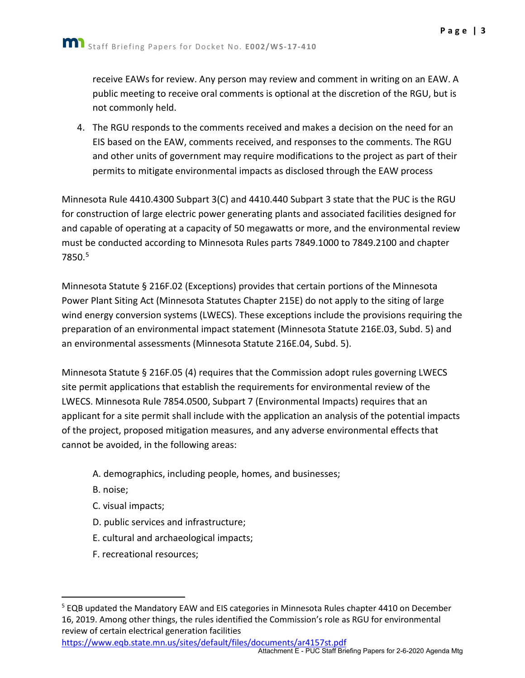receive EAWs for review. Any person may review and comment in writing on an EAW. A public meeting to receive oral comments is optional at the discretion of the RGU, but is not commonly held.

4. The RGU responds to the comments received and makes a decision on the need for an EIS based on the EAW, comments received, and responses to the comments. The RGU and other units of government may require modifications to the project as part of their permits to mitigate environmental impacts as disclosed through the EAW process

Minnesota Rule 4410.4300 Subpart 3(C) and 4410.440 Subpart 3 state that the PUC is the RGU for construction of large electric power generating plants and associated facilities designed for and capable of operating at a capacity of 50 megawatts or more, and the environmental review must be conducted according to Minnesota Rules parts 7849.1000 to 7849.2100 and chapter 7850.[5](#page-4-0)

Minnesota Statute § 216F.02 (Exceptions) provides that certain portions of the Minnesota Power Plant Siting Act (Minnesota Statutes Chapter 215E) do not apply to the siting of large wind energy conversion systems (LWECS). These exceptions include the provisions requiring the preparation of an environmental impact statement (Minnesota Statute 216E.03, Subd. 5) and an environmental assessments (Minnesota Statute 216E.04, Subd. 5).

Minnesota Statute § 216F.05 (4) requires that the Commission adopt rules governing LWECS site permit applications that establish the requirements for environmental review of the LWECS. Minnesota Rule 7854.0500, Subpart 7 (Environmental Impacts) requires that an applicant for a site permit shall include with the application an analysis of the potential impacts of the project, proposed mitigation measures, and any adverse environmental effects that cannot be avoided, in the following areas:

- A. demographics, including people, homes, and businesses;
- B. noise;
- C. visual impacts;
- D. public services and infrastructure;
- E. cultural and archaeological impacts;
- F. recreational resources;

<https://www.eqb.state.mn.us/sites/default/files/documents/ar4157st.pdf>

<span id="page-4-0"></span><sup>&</sup>lt;sup>5</sup> EQB updated the Mandatory EAW and EIS categories in Minnesota Rules chapter 4410 on December 16, 2019. Among other things, the rules identified the Commission's role as RGU for environmental review of certain electrical generation facilities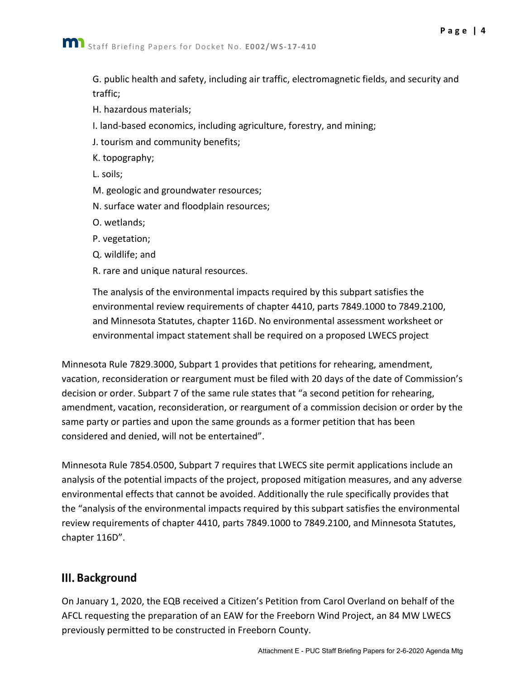G. public health and safety, including air traffic, electromagnetic fields, and security and traffic;

- H. hazardous materials;
- I. land-based economics, including agriculture, forestry, and mining;
- J. tourism and community benefits;
- K. topography;
- L. soils;
- M. geologic and groundwater resources;
- N. surface water and floodplain resources;
- O. wetlands;
- P. vegetation;
- Q. wildlife; and
- R. rare and unique natural resources.

The analysis of the environmental impacts required by this subpart satisfies the environmental review requirements of chapter 4410, parts 7849.1000 to 7849.2100, and Minnesota Statutes, chapter 116D. No environmental assessment worksheet or environmental impact statement shall be required on a proposed LWECS project

Minnesota Rule 7829.3000, Subpart 1 provides that petitions for rehearing, amendment, vacation, reconsideration or reargument must be filed with 20 days of the date of Commission's decision or order. Subpart 7 of the same rule states that "a second petition for rehearing, amendment, vacation, reconsideration, or reargument of a commission decision or order by the same party or parties and upon the same grounds as a former petition that has been considered and denied, will not be entertained".

Minnesota Rule 7854.0500, Subpart 7 requires that LWECS site permit applications include an analysis of the potential impacts of the project, proposed mitigation measures, and any adverse environmental effects that cannot be avoided. Additionally the rule specifically provides that the "analysis of the environmental impacts required by this subpart satisfies the environmental review requirements of chapter 4410, parts 7849.1000 to 7849.2100, and Minnesota Statutes, chapter 116D".

## III. Background

On January 1, 2020, the EQB received a Citizen's Petition from Carol Overland on behalf of the AFCL requesting the preparation of an EAW for the Freeborn Wind Project, an 84 MW LWECS previously permitted to be constructed in Freeborn County.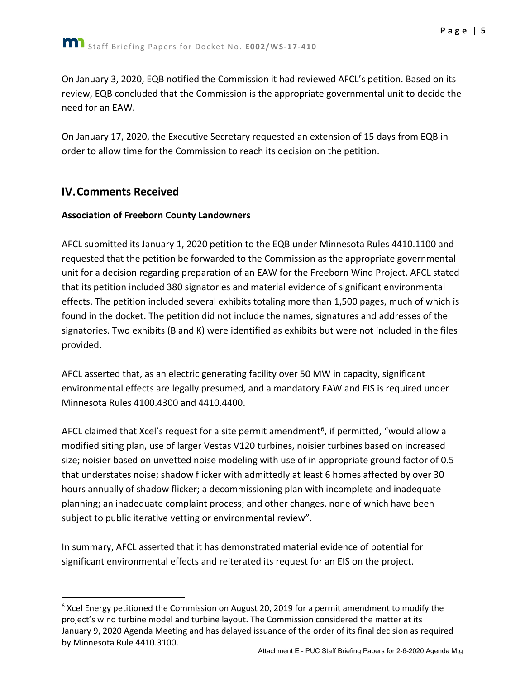**Page | 5**

On January 3, 2020, EQB notified the Commission it had reviewed AFCL's petition. Based on its review, EQB concluded that the Commission is the appropriate governmental unit to decide the need for an EAW.

On January 17, 2020, the Executive Secretary requested an extension of 15 days from EQB in order to allow time for the Commission to reach its decision on the petition.

## **IV. Comments Received**

 $\overline{a}$ 

#### **Association of Freeborn County Landowners**

AFCL submitted its January 1, 2020 petition to the EQB under Minnesota Rules 4410.1100 and requested that the petition be forwarded to the Commission as the appropriate governmental unit for a decision regarding preparation of an EAW for the Freeborn Wind Project. AFCL stated that its petition included 380 signatories and material evidence of significant environmental effects. The petition included several exhibits totaling more than 1,500 pages, much of which is found in the docket. The petition did not include the names, signatures and addresses of the signatories. Two exhibits (B and K) were identified as exhibits but were not included in the files provided.

AFCL asserted that, as an electric generating facility over 50 MW in capacity, significant environmental effects are legally presumed, and a mandatory EAW and EIS is required under Minnesota Rules 4100.4300 and 4410.4400.

AFCL claimed that Xcel's request for a site permit amendment<sup>[6](#page-6-0)</sup>, if permitted, "would allow a modified siting plan, use of larger Vestas V120 turbines, noisier turbines based on increased size; noisier based on unvetted noise modeling with use of in appropriate ground factor of 0.5 that understates noise; shadow flicker with admittedly at least 6 homes affected by over 30 hours annually of shadow flicker; a decommissioning plan with incomplete and inadequate planning; an inadequate complaint process; and other changes, none of which have been subject to public iterative vetting or environmental review".

In summary, AFCL asserted that it has demonstrated material evidence of potential for significant environmental effects and reiterated its request for an EIS on the project.

<span id="page-6-0"></span> $6$  Xcel Energy petitioned the Commission on August 20, 2019 for a permit amendment to modify the project's wind turbine model and turbine layout. The Commission considered the matter at its January 9, 2020 Agenda Meeting and has delayed issuance of the order of its final decision as required by Minnesota Rule 4410.3100.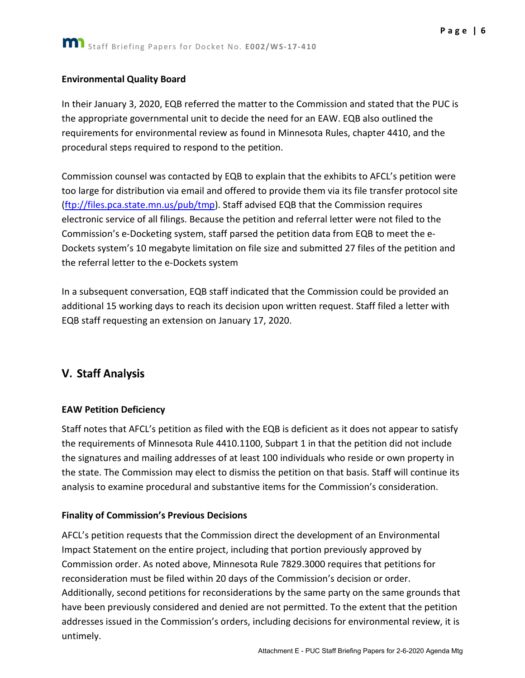#### **Environmental Quality Board**

In their January 3, 2020, EQB referred the matter to the Commission and stated that the PUC is the appropriate governmental unit to decide the need for an EAW. EQB also outlined the requirements for environmental review as found in Minnesota Rules, chapter 4410, and the procedural steps required to respond to the petition.

Commission counsel was contacted by EQB to explain that the exhibits to AFCL's petition were too large for distribution via email and offered to provide them via its file transfer protocol site [\(ftp://files.pca.state.mn.us/pub/tmp\)](ftp://files.pca.state.mn.us/pub/tmp). Staff advised EQB that the Commission requires electronic service of all filings. Because the petition and referral letter were not filed to the Commission's e-Docketing system, staff parsed the petition data from EQB to meet the e-Dockets system's 10 megabyte limitation on file size and submitted 27 files of the petition and the referral letter to the e-Dockets system

In a subsequent conversation, EQB staff indicated that the Commission could be provided an additional 15 working days to reach its decision upon written request. Staff filed a letter with EQB staff requesting an extension on January 17, 2020.

### **V. Staff Analysis**

#### **EAW Petition Deficiency**

Staff notes that AFCL's petition as filed with the EQB is deficient as it does not appear to satisfy the requirements of Minnesota Rule 4410.1100, Subpart 1 in that the petition did not include the signatures and mailing addresses of at least 100 individuals who reside or own property in the state. The Commission may elect to dismiss the petition on that basis. Staff will continue its analysis to examine procedural and substantive items for the Commission's consideration.

#### **Finality of Commission's Previous Decisions**

AFCL's petition requests that the Commission direct the development of an Environmental Impact Statement on the entire project, including that portion previously approved by Commission order. As noted above, Minnesota Rule 7829.3000 requires that petitions for reconsideration must be filed within 20 days of the Commission's decision or order. Additionally, second petitions for reconsiderations by the same party on the same grounds that have been previously considered and denied are not permitted. To the extent that the petition addresses issued in the Commission's orders, including decisions for environmental review, it is untimely.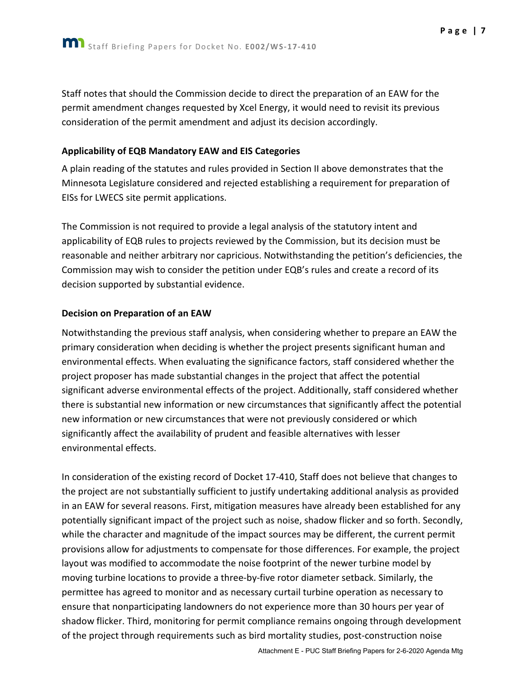Staff notes that should the Commission decide to direct the preparation of an EAW for the permit amendment changes requested by Xcel Energy, it would need to revisit its previous consideration of the permit amendment and adjust its decision accordingly.

#### **Applicability of EQB Mandatory EAW and EIS Categories**

A plain reading of the statutes and rules provided in Section II above demonstrates that the Minnesota Legislature considered and rejected establishing a requirement for preparation of EISs for LWECS site permit applications.

The Commission is not required to provide a legal analysis of the statutory intent and applicability of EQB rules to projects reviewed by the Commission, but its decision must be reasonable and neither arbitrary nor capricious. Notwithstanding the petition's deficiencies, the Commission may wish to consider the petition under EQB's rules and create a record of its decision supported by substantial evidence.

#### **Decision on Preparation of an EAW**

Notwithstanding the previous staff analysis, when considering whether to prepare an EAW the primary consideration when deciding is whether the project presents significant human and environmental effects. When evaluating the significance factors, staff considered whether the project proposer has made substantial changes in the project that affect the potential significant adverse environmental effects of the project. Additionally, staff considered whether there is substantial new information or new circumstances that significantly affect the potential new information or new circumstances that were not previously considered or which significantly affect the availability of prudent and feasible alternatives with lesser environmental effects.

In consideration of the existing record of Docket 17-410, Staff does not believe that changes to the project are not substantially sufficient to justify undertaking additional analysis as provided in an EAW for several reasons. First, mitigation measures have already been established for any potentially significant impact of the project such as noise, shadow flicker and so forth. Secondly, while the character and magnitude of the impact sources may be different, the current permit provisions allow for adjustments to compensate for those differences. For example, the project layout was modified to accommodate the noise footprint of the newer turbine model by moving turbine locations to provide a three-by-five rotor diameter setback. Similarly, the permittee has agreed to monitor and as necessary curtail turbine operation as necessary to ensure that nonparticipating landowners do not experience more than 30 hours per year of shadow flicker. Third, monitoring for permit compliance remains ongoing through development of the project through requirements such as bird mortality studies, post-construction noise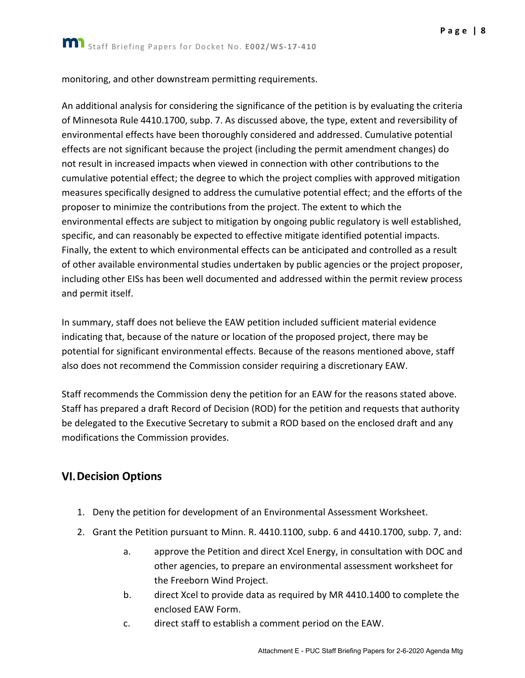monitoring, and other downstream permitting requirements.

An additional analysis for considering the significance of the petition is by evaluating the criteria of Minnesota Rule 4410.1700, subp. 7. As discussed above, the type, extent and reversibility of environmental effects have been thoroughly considered and addressed. Cumulative potential effects are not significant because the project (including the permit amendment changes) do not result in increased impacts when viewed in connection with other contributions to the cumulative potential effect; the degree to which the project complies with approved mitigation measures specifically designed to address the cumulative potential effect; and the efforts of the proposer to minimize the contributions from the project. The extent to which the environmental effects are subject to mitigation by ongoing public regulatory is well established, specific, and can reasonably be expected to effective mitigate identified potential impacts. Finally, the extent to which environmental effects can be anticipated and controlled as a result of other available environmental studies undertaken by public agencies or the project proposer, including other EISs has been well documented and addressed within the permit review process and permit itself.

In summary, staff does not believe the EAW petition included sufficient material evidence indicating that, because of the nature or location of the proposed project, there may be potential for significant environmental effects. Because of the reasons mentioned above, staff also does not recommend the Commission consider requiring a discretionary EAW.

Staff recommends the Commission deny the petition for an EAW for the reasons stated above. Staff has prepared a draft Record of Decision (ROD) for the petition and requests that authority be delegated to the Executive Secretary to submit a ROD based on the enclosed draft and any modifications the Commission provides.

## **VI. Decision Options**

- 1. Deny the petition for development of an Environmental Assessment Worksheet.
- 2. Grant the Petition pursuant to Minn. R. 4410.1100, subp. 6 and 4410.1700, subp. 7, and:
	- a. approve the Petition and direct Xcel Energy, in consultation with DOC and other agencies, to prepare an environmental assessment worksheet for the Freeborn Wind Project.
	- b. direct Xcel to provide data as required by MR 4410.1400 to complete the enclosed EAW Form.
	- c. direct staff to establish a comment period on the EAW.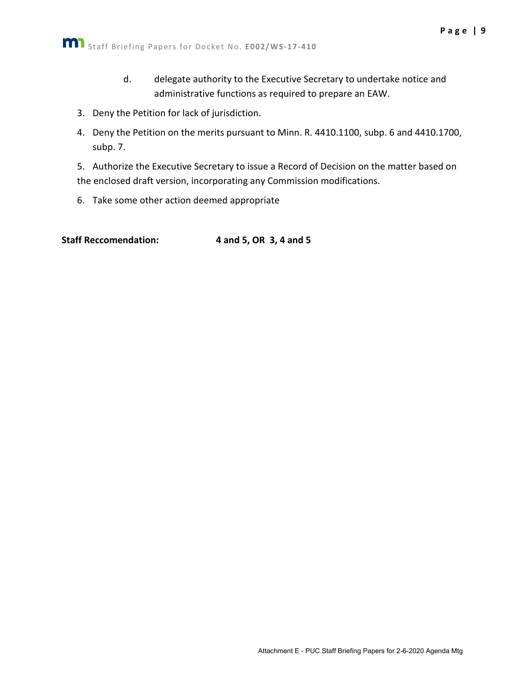- d. delegate authority to the Executive Secretary to undertake notice and administrative functions as required to prepare an EAW.
- 3. Deny the Petition for lack of jurisdiction.
- 4. Deny the Petition on the merits pursuant to Minn. R. 4410.1100, subp. 6 and 4410.1700, subp. 7.

5. Authorize the Executive Secretary to issue a Record of Decision on the matter based on the enclosed draft version, incorporating any Commission modifications.

6. Take some other action deemed appropriate

**Staff Reccomendation: 4 and 5, OR 3, 4 and 5**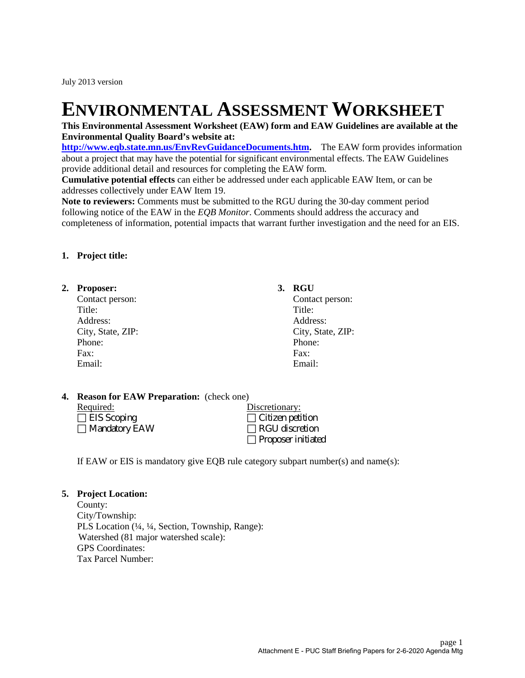# **ENVIRONMENTAL ASSESSMENT WORKSHEET** This Environmental Assessment Worksheet (EAW) form and EAW Guidelines are available at the

## **Environmental Quality Board's website at:**

**[http://www.eqb.state.mn.us/EnvRevGuidanceDocuments.htm.](http://www.eqb.state.mn.us/EnvRevGuidanceDocuments.htm)** The EAW form provides information about a project that may have the potential for significant environmental effects. The EAW Guidelines provide additional detail and resources for completing the EAW form.

**Cumulative potential effects** can either be addressed under each applicable EAW Item, or can be addresses collectively under EAW Item 19.

**Note to reviewers:** Comments must be submitted to the RGU during the 30-day comment period following notice of the EAW in the *EQB Monitor*. Comments should address the accuracy and completeness of information, potential impacts that warrant further investigation and the need for an EIS.

#### **1. Project title:**

#### **2. Proposer: 3. RGU**

Contact person: Contact person: Title: Title: Address: Address: Phone: Phone: Fax: Fax: Email: Email:

City, State, ZIP: City, State, ZIP:

#### **4. Reason for EAW Preparation:** (check one)

| Required:            |  | Discretionary:            |
|----------------------|--|---------------------------|
| $\Box$ EIS Scoping   |  | $\Box$ Citizen petition   |
| $\Box$ Mandatory EAW |  | $\Box$ RGU discretion     |
|                      |  | $\Box$ Proposer initiated |

If EAW or EIS is mandatory give EQB rule category subpart number(s) and name(s):

#### **5. Project Location:**

County: City/Township: PLS Location (¼, ¼, Section, Township, Range): Watershed (81 major watershed scale): GPS Coordinates: Tax Parcel Number: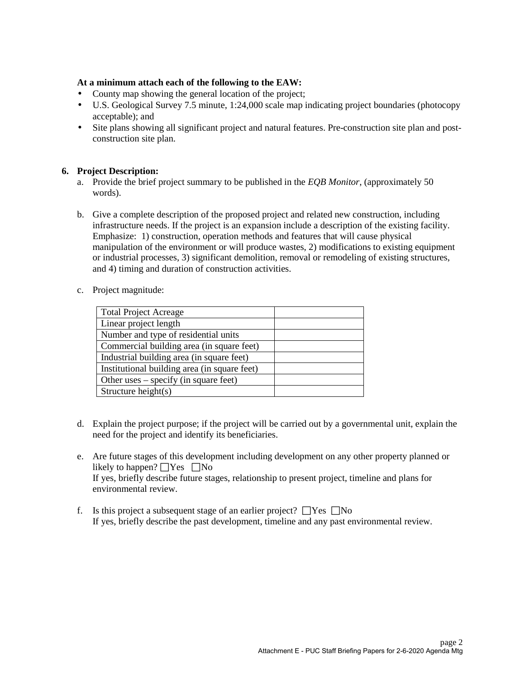#### **At a minimum attach each of the following to the EAW:**

- County map showing the general location of the project;
- U.S. Geological Survey 7.5 minute, 1:24,000 scale map indicating project boundaries (photocopy ä, acceptable); and
- Site plans showing all significant project and natural features. Pre-construction site plan and postconstruction site plan.

#### **6. Project Description:**

- a. Provide the brief project summary to be published in the *EQB Monitor*, (approximately 50 words).
- b. Give a complete description of the proposed project and related new construction, including infrastructure needs. If the project is an expansion include a description of the existing facility. Emphasize: 1) construction, operation methods and features that will cause physical manipulation of the environment or will produce wastes, 2) modifications to existing equipment or industrial processes, 3) significant demolition, removal or remodeling of existing structures, and 4) timing and duration of construction activities.
- c. Project magnitude:

| <b>Total Project Acreage</b>                 |  |
|----------------------------------------------|--|
| Linear project length                        |  |
| Number and type of residential units         |  |
| Commercial building area (in square feet)    |  |
| Industrial building area (in square feet)    |  |
| Institutional building area (in square feet) |  |
| Other uses – specify (in square feet)        |  |
| Structure height(s)                          |  |

- d. Explain the project purpose; if the project will be carried out by a governmental unit, explain the need for the project and identify its beneficiaries.
- e. Are future stages of this development including development on any other property planned or likely to happen?  $\Box$  Yes  $\Box$  No If yes, briefly describe future stages, relationship to present project, timeline and plans for environmental review.
- f. Is this project a subsequent stage of an earlier project?  $\Box$  Yes  $\Box$  No If yes, briefly describe the past development, timeline and any past environmental review.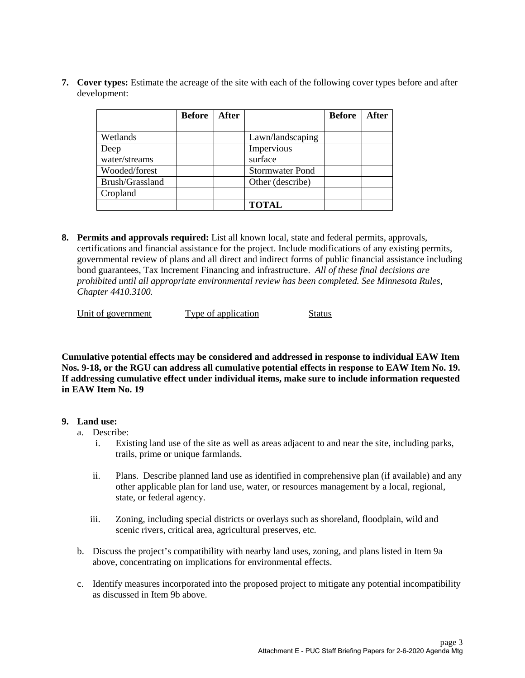**7. Cover types:** Estimate the acreage of the site with each of the following cover types before and after development:

|                 | <b>Before</b> | <b>After</b> |                        | <b>Before</b> | <b>After</b> |
|-----------------|---------------|--------------|------------------------|---------------|--------------|
|                 |               |              |                        |               |              |
| Wetlands        |               |              | Lawn/landscaping       |               |              |
| Deep            |               |              | Impervious             |               |              |
| water/streams   |               |              | surface                |               |              |
| Wooded/forest   |               |              | <b>Stormwater Pond</b> |               |              |
| Brush/Grassland |               |              | Other (describe)       |               |              |
| Cropland        |               |              |                        |               |              |
|                 |               |              | <b>TOTAL</b>           |               |              |

**8. Permits and approvals required:** List all known local, state and federal permits, approvals, certifications and financial assistance for the project. Include modifications of any existing permits, governmental review of plans and all direct and indirect forms of public financial assistance including bond guarantees, Tax Increment Financing and infrastructure. *All of these final decisions are prohibited until all appropriate environmental review has been completed. See Minnesota Rules, Chapter 4410.3100.*

| Unit of government | Type of application | Status |
|--------------------|---------------------|--------|
|                    |                     |        |

**Cumulative potential effects may be considered and addressed in response to individual EAW Item Nos. 9-18, or the RGU can address all cumulative potential effects in response to EAW Item No. 19. If addressing cumulative effect under individual items, make sure to include information requested in EAW Item No. 19** 

#### **9. Land use:**

- a. Describe:
	- i. Existing land use of the site as well as areas adjacent to and near the site, including parks, trails, prime or unique farmlands.
	- ii. Plans. Describe planned land use as identified in comprehensive plan (if available) and any other applicable plan for land use, water, or resources management by a local, regional, state, or federal agency.
	- iii. Zoning, including special districts or overlays such as shoreland, floodplain, wild and scenic rivers, critical area, agricultural preserves, etc.
- b. Discuss the project's compatibility with nearby land uses, zoning, and plans listed in Item 9a above, concentrating on implications for environmental effects.
- c. Identify measures incorporated into the proposed project to mitigate any potential incompatibility as discussed in Item 9b above.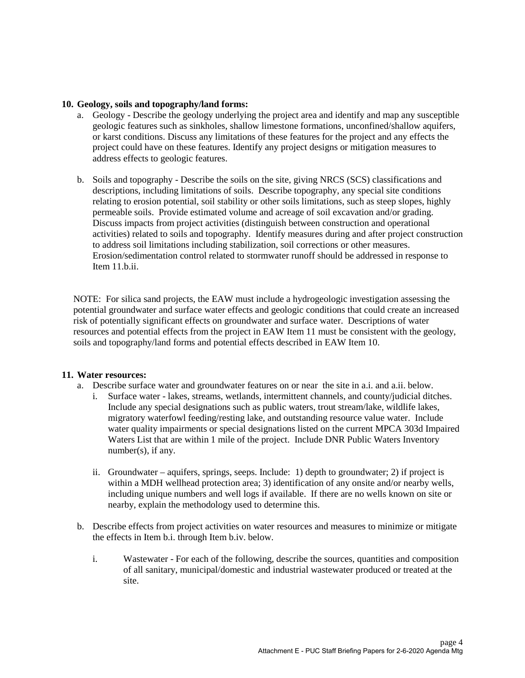#### **10. Geology, soils and topography/land forms:**

- a. Geology Describe the geology underlying the project area and identify and map any susceptible geologic features such as sinkholes, shallow limestone formations, unconfined/shallow aquifers, or karst conditions. Discuss any limitations of these features for the project and any effects the project could have on these features. Identify any project designs or mitigation measures to address effects to geologic features.
- b. Soils and topography Describe the soils on the site, giving NRCS (SCS) classifications and descriptions, including limitations of soils. Describe topography, any special site conditions relating to erosion potential, soil stability or other soils limitations, such as steep slopes, highly permeable soils. Provide estimated volume and acreage of soil excavation and/or grading. Discuss impacts from project activities (distinguish between construction and operational activities) related to soils and topography. Identify measures during and after project construction to address soil limitations including stabilization, soil corrections or other measures. Erosion/sedimentation control related to stormwater runoff should be addressed in response to Item 11.b.ii.

NOTE: For silica sand projects, the EAW must include a hydrogeologic investigation assessing the potential groundwater and surface water effects and geologic conditions that could create an increased risk of potentially significant effects on groundwater and surface water. Descriptions of water resources and potential effects from the project in EAW Item 11 must be consistent with the geology, soils and topography/land forms and potential effects described in EAW Item 10.

#### **11. Water resources:**

- a. Describe surface water and groundwater features on or near the site in a.i. and a.ii. below.
	- i. Surface water lakes, streams, wetlands, intermittent channels, and county/judicial ditches. Include any special designations such as public waters, trout stream/lake, wildlife lakes, migratory waterfowl feeding/resting lake, and outstanding resource value water. Include water quality impairments or special designations listed on the current MPCA 303d Impaired Waters List that are within 1 mile of the project. Include DNR Public Waters Inventory number(s), if any.
	- ii. Groundwater aquifers, springs, seeps. Include: 1) depth to groundwater; 2) if project is within a MDH wellhead protection area; 3) identification of any onsite and/or nearby wells, including unique numbers and well logs if available. If there are no wells known on site or nearby, explain the methodology used to determine this.
- b. Describe effects from project activities on water resources and measures to minimize or mitigate the effects in Item b.i. through Item b.iv. below.
	- i. Wastewater For each of the following, describe the sources, quantities and composition of all sanitary, municipal/domestic and industrial wastewater produced or treated at the site.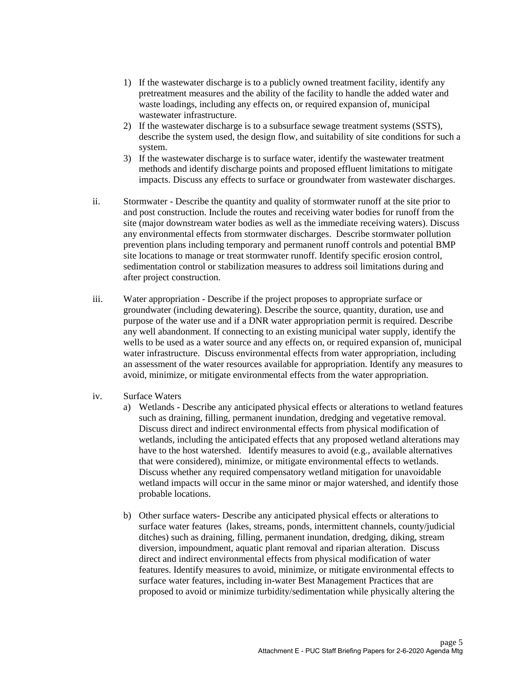- 1) If the wastewater discharge is to a publicly owned treatment facility, identify any pretreatment measures and the ability of the facility to handle the added water and waste loadings, including any effects on, or required expansion of, municipal wastewater infrastructure.
- 2) If the wastewater discharge is to a subsurface sewage treatment systems (SSTS), describe the system used, the design flow, and suitability of site conditions for such a system.
- 3) If the wastewater discharge is to surface water, identify the wastewater treatment methods and identify discharge points and proposed effluent limitations to mitigate impacts. Discuss any effects to surface or groundwater from wastewater discharges.
- ii. Stormwater Describe the quantity and quality of stormwater runoff at the site prior to and post construction. Include the routes and receiving water bodies for runoff from the site (major downstream water bodies as well as the immediate receiving waters). Discuss any environmental effects from stormwater discharges. Describe stormwater pollution prevention plans including temporary and permanent runoff controls and potential BMP site locations to manage or treat stormwater runoff. Identify specific erosion control, sedimentation control or stabilization measures to address soil limitations during and after project construction.
- iii. Water appropriation Describe if the project proposes to appropriate surface or groundwater (including dewatering). Describe the source, quantity, duration, use and purpose of the water use and if a DNR water appropriation permit is required. Describe any well abandonment. If connecting to an existing municipal water supply, identify the wells to be used as a water source and any effects on, or required expansion of, municipal water infrastructure. Discuss environmental effects from water appropriation, including an assessment of the water resources available for appropriation. Identify any measures to avoid, minimize, or mitigate environmental effects from the water appropriation.
- iv. Surface Waters
	- a) Wetlands Describe any anticipated physical effects or alterations to wetland features such as draining, filling, permanent inundation, dredging and vegetative removal. Discuss direct and indirect environmental effects from physical modification of wetlands, including the anticipated effects that any proposed wetland alterations may have to the host watershed. Identify measures to avoid (e.g., available alternatives that were considered), minimize, or mitigate environmental effects to wetlands. Discuss whether any required compensatory wetland mitigation for unavoidable wetland impacts will occur in the same minor or major watershed, and identify those probable locations.
	- b) Other surface waters- Describe any anticipated physical effects or alterations to surface water features (lakes, streams, ponds, intermittent channels, county/judicial ditches) such as draining, filling, permanent inundation, dredging, diking, stream diversion, impoundment, aquatic plant removal and riparian alteration. Discuss direct and indirect environmental effects from physical modification of water features. Identify measures to avoid, minimize, or mitigate environmental effects to surface water features, including in-water Best Management Practices that are proposed to avoid or minimize turbidity/sedimentation while physically altering the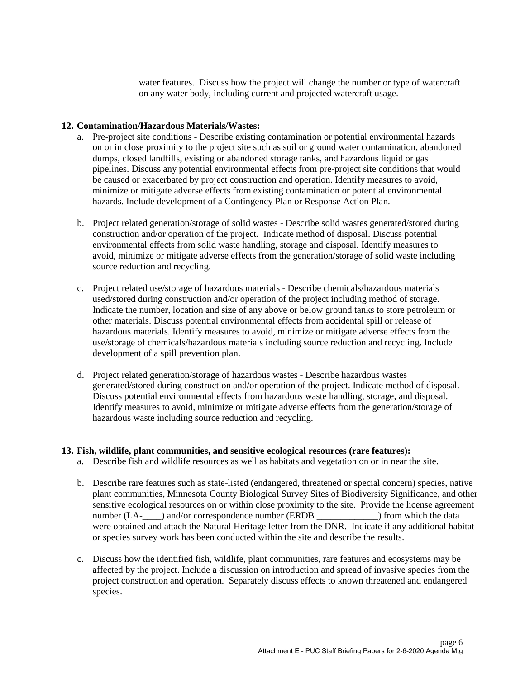water features. Discuss how the project will change the number or type of watercraft on any water body, including current and projected watercraft usage.

#### **12. Contamination/Hazardous Materials/Wastes:**

- a. Pre-project site conditions Describe existing contamination or potential environmental hazards on or in close proximity to the project site such as soil or ground water contamination, abandoned dumps, closed landfills, existing or abandoned storage tanks, and hazardous liquid or gas pipelines. Discuss any potential environmental effects from pre-project site conditions that would be caused or exacerbated by project construction and operation. Identify measures to avoid, minimize or mitigate adverse effects from existing contamination or potential environmental hazards. Include development of a Contingency Plan or Response Action Plan.
- b. Project related generation/storage of solid wastes Describe solid wastes generated/stored during construction and/or operation of the project. Indicate method of disposal. Discuss potential environmental effects from solid waste handling, storage and disposal. Identify measures to avoid, minimize or mitigate adverse effects from the generation/storage of solid waste including source reduction and recycling.
- c. Project related use/storage of hazardous materials Describe chemicals/hazardous materials used/stored during construction and/or operation of the project including method of storage. Indicate the number, location and size of any above or below ground tanks to store petroleum or other materials. Discuss potential environmental effects from accidental spill or release of hazardous materials. Identify measures to avoid, minimize or mitigate adverse effects from the use/storage of chemicals/hazardous materials including source reduction and recycling. Include development of a spill prevention plan.
- d. Project related generation/storage of hazardous wastes Describe hazardous wastes generated/stored during construction and/or operation of the project. Indicate method of disposal. Discuss potential environmental effects from hazardous waste handling, storage, and disposal. Identify measures to avoid, minimize or mitigate adverse effects from the generation/storage of hazardous waste including source reduction and recycling.

#### **13. Fish, wildlife, plant communities, and sensitive ecological resources (rare features):**

- a. Describe fish and wildlife resources as well as habitats and vegetation on or in near the site.
- b. Describe rare features such as state-listed (endangered, threatened or special concern) species, native plant communities, Minnesota County Biological Survey Sites of Biodiversity Significance, and other sensitive ecological resources on or within close proximity to the site. Provide the license agreement number (LA-\_\_\_\_) and/or correspondence number (ERDB \_\_\_\_\_\_\_\_\_\_\_\_\_) from which the data were obtained and attach the Natural Heritage letter from the DNR. Indicate if any additional habitat or species survey work has been conducted within the site and describe the results.
- c. Discuss how the identified fish, wildlife, plant communities, rare features and ecosystems may be affected by the project. Include a discussion on introduction and spread of invasive species from the project construction and operation. Separately discuss effects to known threatened and endangered species.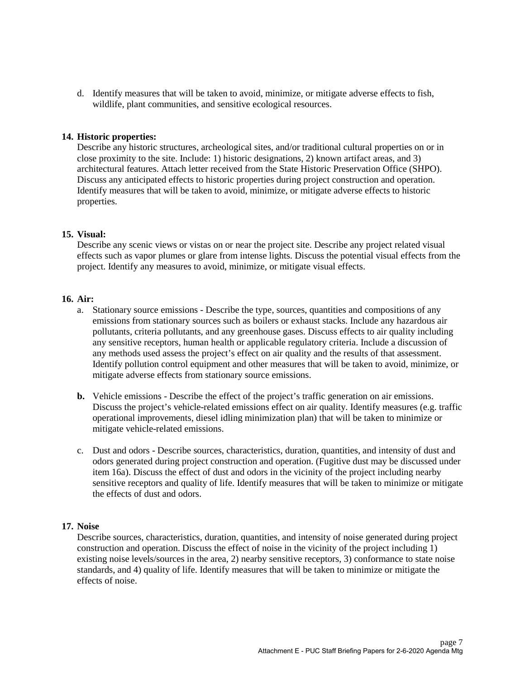d. Identify measures that will be taken to avoid, minimize, or mitigate adverse effects to fish, wildlife, plant communities, and sensitive ecological resources.

#### **14. Historic properties:**

Describe any historic structures, archeological sites, and/or traditional cultural properties on or in close proximity to the site. Include: 1) historic designations, 2) known artifact areas, and 3) architectural features. Attach letter received from the State Historic Preservation Office (SHPO). Discuss any anticipated effects to historic properties during project construction and operation. Identify measures that will be taken to avoid, minimize, or mitigate adverse effects to historic properties.

#### **15. Visual:**

Describe any scenic views or vistas on or near the project site. Describe any project related visual effects such as vapor plumes or glare from intense lights. Discuss the potential visual effects from the project. Identify any measures to avoid, minimize, or mitigate visual effects.

#### **16. Air:**

- a. Stationary source emissions Describe the type, sources, quantities and compositions of any emissions from stationary sources such as boilers or exhaust stacks. Include any hazardous air pollutants, criteria pollutants, and any greenhouse gases. Discuss effects to air quality including any sensitive receptors, human health or applicable regulatory criteria. Include a discussion of any methods used assess the project's effect on air quality and the results of that assessment. Identify pollution control equipment and other measures that will be taken to avoid, minimize, or mitigate adverse effects from stationary source emissions.
- **b.** Vehicle emissions Describe the effect of the project's traffic generation on air emissions. Discuss the project's vehicle-related emissions effect on air quality. Identify measures (e.g. traffic operational improvements, diesel idling minimization plan) that will be taken to minimize or mitigate vehicle-related emissions.
- c. Dust and odors Describe sources, characteristics, duration, quantities, and intensity of dust and odors generated during project construction and operation. (Fugitive dust may be discussed under item 16a). Discuss the effect of dust and odors in the vicinity of the project including nearby sensitive receptors and quality of life. Identify measures that will be taken to minimize or mitigate the effects of dust and odors.

#### **17. Noise**

Describe sources, characteristics, duration, quantities, and intensity of noise generated during project construction and operation. Discuss the effect of noise in the vicinity of the project including 1) existing noise levels/sources in the area, 2) nearby sensitive receptors, 3) conformance to state noise standards, and 4) quality of life. Identify measures that will be taken to minimize or mitigate the effects of noise.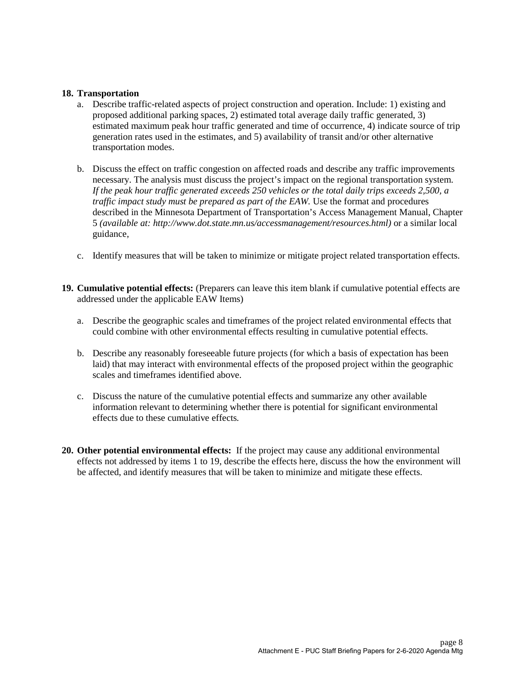#### **18. Transportation**

- a. Describe traffic-related aspects of project construction and operation. Include: 1) existing and proposed additional parking spaces, 2) estimated total average daily traffic generated, 3) estimated maximum peak hour traffic generated and time of occurrence, 4) indicate source of trip generation rates used in the estimates, and 5) availability of transit and/or other alternative transportation modes.
- b. Discuss the effect on traffic congestion on affected roads and describe any traffic improvements necessary. The analysis must discuss the project's impact on the regional transportation system. *If the peak hour traffic generated exceeds 250 vehicles or the total daily trips exceeds 2,500, a traffic impact study must be prepared as part of the EAW.* Use the format and procedures described in the Minnesota Department of Transportation's Access Management Manual, Chapter 5 *(available at: http://www.dot.state.mn.us/accessmanagement/resources.html)* or a similar local guidance,
- c. Identify measures that will be taken to minimize or mitigate project related transportation effects.
- **19. Cumulative potential effects:** (Preparers can leave this item blank if cumulative potential effects are addressed under the applicable EAW Items)
	- a. Describe the geographic scales and timeframes of the project related environmental effects that could combine with other environmental effects resulting in cumulative potential effects.
	- b. Describe any reasonably foreseeable future projects (for which a basis of expectation has been laid) that may interact with environmental effects of the proposed project within the geographic scales and timeframes identified above.
	- c. Discuss the nature of the cumulative potential effects and summarize any other available information relevant to determining whether there is potential for significant environmental effects due to these cumulative effects*.*
- **20. Other potential environmental effects:** If the project may cause any additional environmental effects not addressed by items 1 to 19, describe the effects here, discuss the how the environment will be affected, and identify measures that will be taken to minimize and mitigate these effects.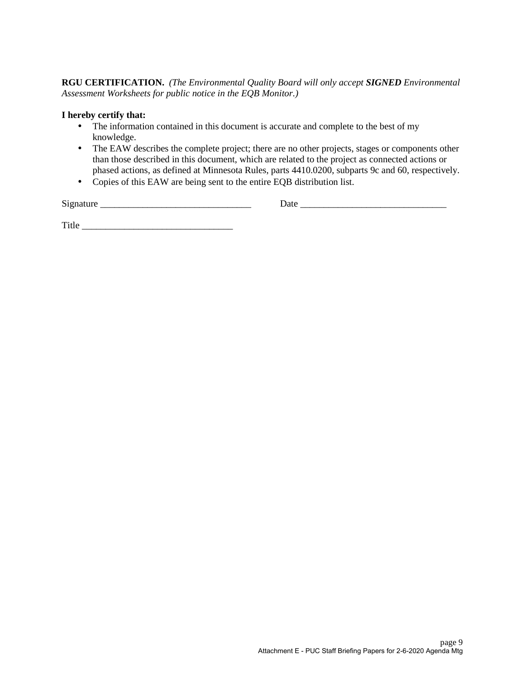#### **RGU CERTIFICATION.** *(The Environmental Quality Board will only accept SIGNED Environmental Assessment Worksheets for public notice in the EQB Monitor.)*

#### **I hereby certify that:**

- The information contained in this document is accurate and complete to the best of my knowledge.
- The EAW describes the complete project; there are no other projects, stages or components other than those described in this document, which are related to the project as connected actions or phased actions, as defined at Minnesota Rules, parts 4410.0200, subparts 9c and 60, respectively.
- Copies of this EAW are being sent to the entire EQB distribution list.  $\mathcal{L}^{\pm}$

| Signature |  |
|-----------|--|
|           |  |

Title \_\_\_\_\_\_\_\_\_\_\_\_\_\_\_\_\_\_\_\_\_\_\_\_\_\_\_\_\_\_\_\_

 $Date$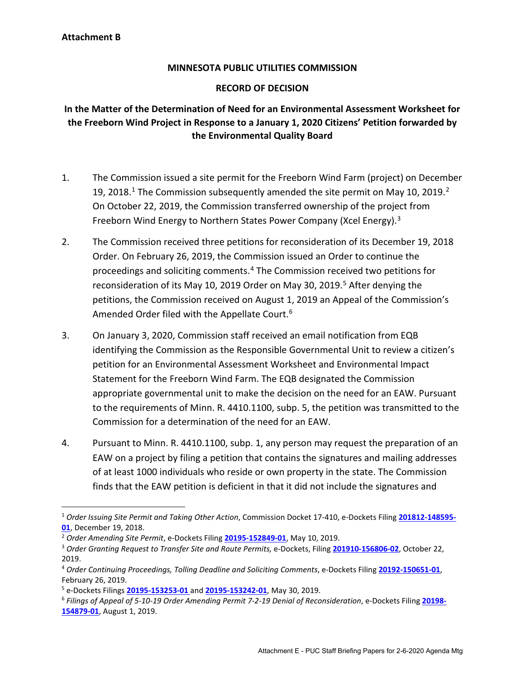$\overline{a}$ 

#### **MINNESOTA PUBLIC UTILITIES COMMISSION**

#### **RECORD OF DECISION**

#### **In the Matter of the Determination of Need for an Environmental Assessment Worksheet for the Freeborn Wind Project in Response to a January 1, 2020 Citizens' Petition forwarded by the Environmental Quality Board**

- 1. The Commission issued a site permit for the Freeborn Wind Farm (project) on December [1](#page-20-0)9, [2](#page-20-1)018.<sup>1</sup> The Commission subsequently amended the site permit on May 10, 2019.<sup>2</sup> On October 22, 2019, the Commission transferred ownership of the project from Freeborn Wind Energy to Northern States Power Company (Xcel Energy).<sup>3</sup>
- 2. The Commission received three petitions for reconsideration of its December 19, 2018 Order. On February 26, 2019, the Commission issued an Order to continue the proceedings and soliciting comments.[4](#page-20-3) The Commission received two petitions for reconsideration of its May 10, 2019 Order on May 30, 2019.<sup>[5](#page-20-4)</sup> After denying the petitions, the Commission received on August 1, 2019 an Appeal of the Commission's Amended Order filed with the Appellate Court.<sup>[6](#page-20-5)</sup>
- 3. On January 3, 2020, Commission staff received an email notification from EQB identifying the Commission as the Responsible Governmental Unit to review a citizen's petition for an Environmental Assessment Worksheet and Environmental Impact Statement for the Freeborn Wind Farm. The EQB designated the Commission appropriate governmental unit to make the decision on the need for an EAW. Pursuant to the requirements of Minn. R. 4410.1100, subp. 5, the petition was transmitted to the Commission for a determination of the need for an EAW.
- 4. Pursuant to Minn. R. 4410.1100, subp. 1, any person may request the preparation of an EAW on a project by filing a petition that contains the signatures and mailing addresses of at least 1000 individuals who reside or own property in the state. The Commission finds that the EAW petition is deficient in that it did not include the signatures and

<span id="page-20-0"></span><sup>1</sup> *Order Issuing Site Permit and Taking Other Action*, Commission Docket 17-410, e-Dockets Filing **[201812-148595-](https://www.edockets.state.mn.us/EFiling/edockets/searchDocuments.do?method=eDocketsResult&userType=public#%7BA06BC867-0000-C813-98D1-BE9196003A96%7D) <sup>01</sup>**[,](https://www.edockets.state.mn.us/EFiling/edockets/searchDocuments.do?method=eDocketsResult&userType=public#%7BA06BC867-0000-C813-98D1-BE9196003A96%7D) December 19, 2018. 2 *Order Amending Site Permit*, e-Dockets Filing **[20195-152849-01](https://www.edockets.state.mn.us/EFiling/edockets/searchDocuments.do?method=eDocketsResult&userType=public#%7BE025A36A-0000-C612-8C94-574288B05EF0%7D)**, May 10, 2019.

<span id="page-20-1"></span>

<span id="page-20-2"></span><sup>3</sup> *Order Granting Request to Transfer Site and Route Permits,* e-Dockets, Filing **[201910-156806-02](https://www.edockets.state.mn.us/EFiling/edockets/searchDocuments.do?method=eDocketsResult&userType=public#%7B40D2F46D-0000-C73C-8864-CE27CAF16F07%7D)**, October 22, 2019.

<span id="page-20-3"></span><sup>4</sup> *Order Continuing Proceedings, Tolling Deadline and Soliciting Comments*, e-Dockets Filing **[20192-150651-01](https://www.edockets.state.mn.us/EFiling/edockets/searchDocuments.do?method=eDocketsResult&userType=public#%7B10572F69-0000-C213-B513-51C1B076C857%7D)**, February 26, 2019.

<span id="page-20-4"></span><sup>&</sup>lt;sup>5</sup> e-Dockets Filings 20195-153253-01 and 20195-153242-01, May 30, 2019.

<span id="page-20-5"></span>e-Dockets Filings **20195-153253-01** and **20195-153242-01**[,](https://www.edockets.state.mn.us/EFiling/edockets/searchDocuments.do?method=eDocketsResult&userType=public#%7B70260A6B-0000-C810-A999-7811D78AD8CE%7D) May 30, 2019. 6 *Filings of Appeal of 5-10-19 Order Amending Permit 7-2-19 Denial of Reconsideration*, e-Dockets Filing **[20198-](https://www.edockets.state.mn.us/EFiling/edockets/searchDocuments.do?method=eDocketsResult&userType=public#%7BB0DC4D6C-0000-C21A-8972-8FFA8A6FE6A0%7D) [154879-01](https://www.edockets.state.mn.us/EFiling/edockets/searchDocuments.do?method=eDocketsResult&userType=public#%7BB0DC4D6C-0000-C21A-8972-8FFA8A6FE6A0%7D)**, August 1, 2019.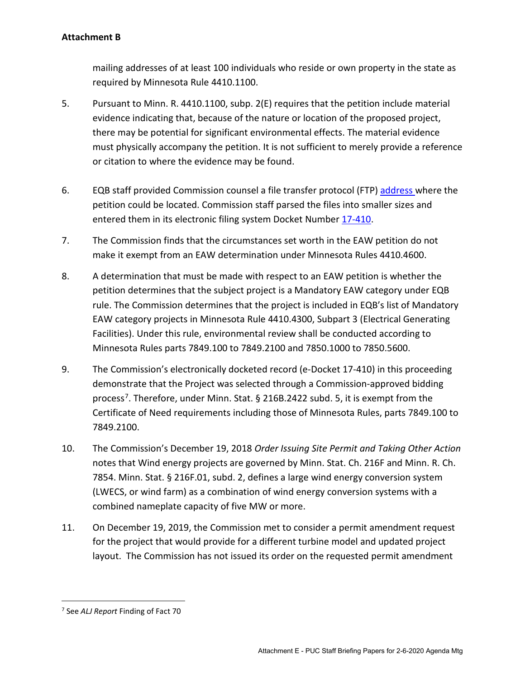mailing addresses of at least 100 individuals who reside or own property in the state as required by Minnesota Rule 4410.1100.

- 5. Pursuant to Minn. R. 4410.1100, subp. 2(E) requires that the petition include material evidence indicating that, because of the nature or location of the proposed project, there may be potential for significant environmental effects. The material evidence must physically accompany the petition. It is not sufficient to merely provide a reference or citation to where the evidence may be found.
- 6. EQB staff provided Commission counsel a file transfer protocol (FTP[\) address w](ftp://files.pca.state.mn.us/pub/tmp)here the petition could be located. Commission staff parsed the files into smaller sizes and entered them in its electronic filing system Docket Number [17-410.](https://www.edockets.state.mn.us/EFiling/edockets/searchDocuments.do?method=eDocketsResult&docketYear=17&docketNumber=410)
- 7. The Commission finds that the circumstances set worth in the EAW petition do not make it exempt from an EAW determination under Minnesota Rules 4410.4600.
- 8. A determination that must be made with respect to an EAW petition is whether the petition determines that the subject project is a Mandatory EAW category under EQB rule. The Commission determines that the project is included in EQB's list of Mandatory EAW category projects in Minnesota Rule 4410.4300, Subpart 3 (Electrical Generating Facilities). Under this rule, environmental review shall be conducted according to Minnesota Rules parts 7849.100 to 7849.2100 and 7850.1000 to 7850.5600.
- 9. The Commission's electronically docketed record (e-Docket 17-410) in this proceeding demonstrate that the Project was selected through a Commission-approved bidding process[7.](#page-21-0) Therefore, under Minn. Stat. § 216B.2422 subd. 5, it is exempt from the Certificate of Need requirements including those of Minnesota Rules, parts 7849.100 to 7849.2100.
- 10. The Commission's December 19, 2018 *Order Issuing Site Permit and Taking Other Action* notes that Wind energy projects are governed by Minn. Stat. Ch. 216F and Minn. R. Ch. 7854. Minn. Stat. § 216F.01, subd. 2, defines a large wind energy conversion system (LWECS, or wind farm) as a combination of wind energy conversion systems with a combined nameplate capacity of five MW or more.
- 11. On December 19, 2019, the Commission met to consider a permit amendment request for the project that would provide for a different turbine model and updated project layout. The Commission has not issued its order on the requested permit amendment

 $\overline{a}$ 

<span id="page-21-0"></span><sup>7</sup> See *ALJ Report* Finding of Fact 70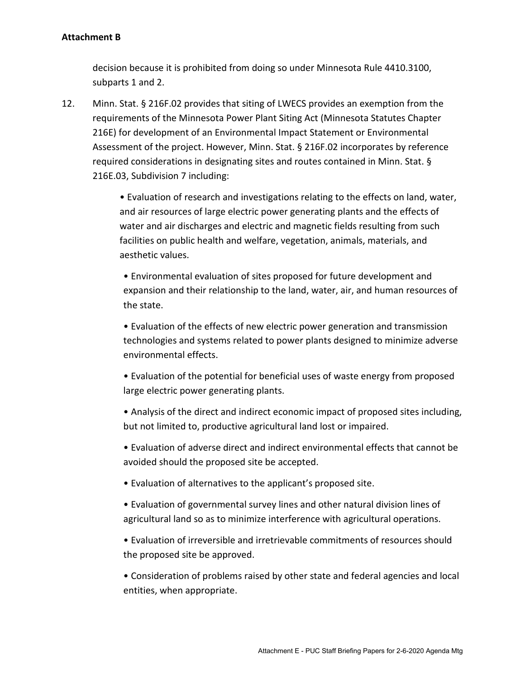decision because it is prohibited from doing so under Minnesota Rule 4410.3100, subparts 1 and 2.

12. Minn. Stat. § 216F.02 provides that siting of LWECS provides an exemption from the requirements of the Minnesota Power Plant Siting Act (Minnesota Statutes Chapter 216E) for development of an Environmental Impact Statement or Environmental Assessment of the project. However, Minn. Stat. § 216F.02 incorporates by reference required considerations in designating sites and routes contained in Minn. Stat. § 216E.03, Subdivision 7 including:

> • Evaluation of research and investigations relating to the effects on land, water, and air resources of large electric power generating plants and the effects of water and air discharges and electric and magnetic fields resulting from such facilities on public health and welfare, vegetation, animals, materials, and aesthetic values.

• Environmental evaluation of sites proposed for future development and expansion and their relationship to the land, water, air, and human resources of the state.

• Evaluation of the effects of new electric power generation and transmission technologies and systems related to power plants designed to minimize adverse environmental effects.

• Evaluation of the potential for beneficial uses of waste energy from proposed large electric power generating plants.

• Analysis of the direct and indirect economic impact of proposed sites including, but not limited to, productive agricultural land lost or impaired.

• Evaluation of adverse direct and indirect environmental effects that cannot be avoided should the proposed site be accepted.

- Evaluation of alternatives to the applicant's proposed site.
- Evaluation of governmental survey lines and other natural division lines of agricultural land so as to minimize interference with agricultural operations.

• Evaluation of irreversible and irretrievable commitments of resources should the proposed site be approved.

• Consideration of problems raised by other state and federal agencies and local entities, when appropriate.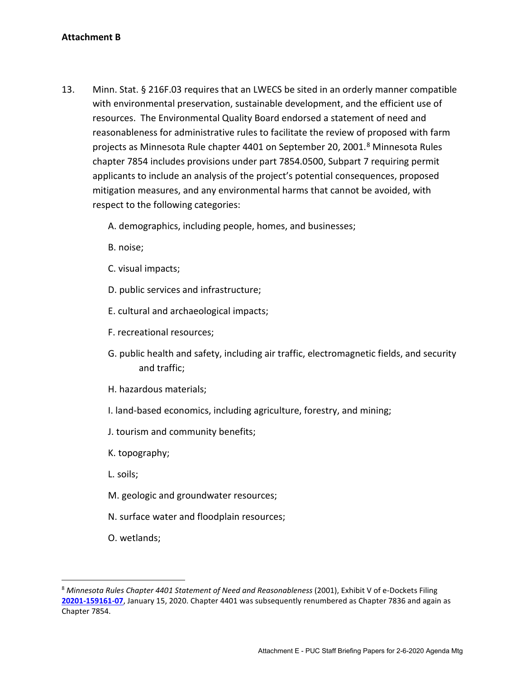- 13. Minn. Stat. § 216F.03 requires that an LWECS be sited in an orderly manner compatible with environmental preservation, sustainable development, and the efficient use of resources. The Environmental Quality Board endorsed a statement of need and reasonableness for administrative rules to facilitate the review of proposed with farm projects as Minnesota Rule chapter 4401 on September 20, 2001.<sup>[8](#page-23-0)</sup> Minnesota Rules chapter 7854 includes provisions under part 7854.0500, Subpart 7 requiring permit applicants to include an analysis of the project's potential consequences, proposed mitigation measures, and any environmental harms that cannot be avoided, with respect to the following categories:
	- A. demographics, including people, homes, and businesses;
	- B. noise;
	- C. visual impacts;
	- D. public services and infrastructure;
	- E. cultural and archaeological impacts;
	- F. recreational resources;
	- G. public health and safety, including air traffic, electromagnetic fields, and security and traffic;
	- H. hazardous materials;
	- I. land-based economics, including agriculture, forestry, and mining;
	- J. tourism and community benefits;
	- K. topography;
	- L. soils;
	- M. geologic and groundwater resources;
	- N. surface water and floodplain resources;
	- O. wetlands;

 $\overline{a}$ 

<span id="page-23-0"></span><sup>8</sup> *Minnesota Rules Chapter 4401 Statement of Need and Reasonableness* (2001), Exhibit V of e-Dockets Filing **[20201-159161-07](https://www.edockets.state.mn.us/EFiling/edockets/searchDocuments.do?method=eDocketsResult&userType=public#%7B5023AB6F-0000-CA8C-AE34-1523345BB3B7%7D)**, January 15, 2020. Chapter 4401 was subsequently renumbered as Chapter 7836 and again as Chapter 7854.